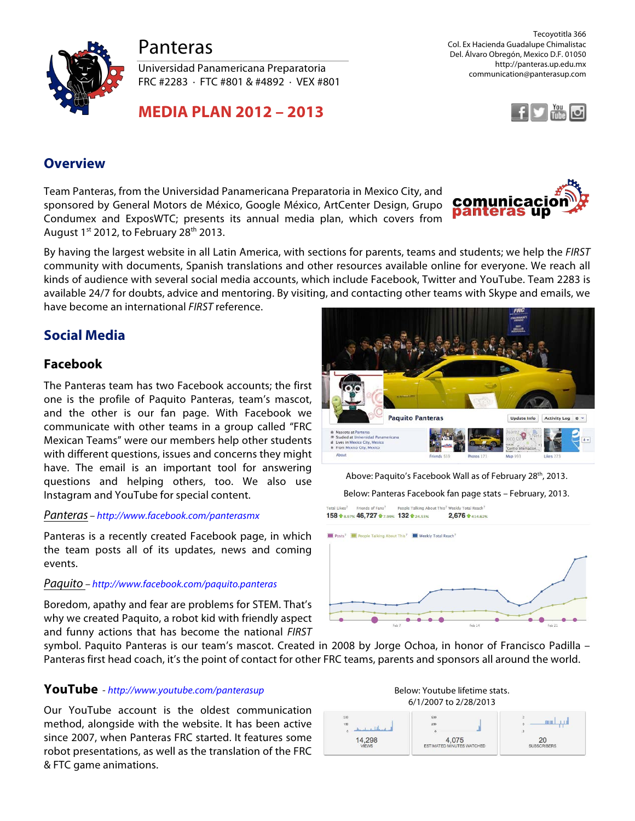



Universidad Panamericana Preparatoria FRC #2283 · FTC #801 & #4892 · VEX #801

**MEDIA PLAN 2012 – 2013**

Tecoyotitla 366 Col. Ex Hacienda Guadalupe Chimalistac Del. Álvaro Obregón, Mexico D.F. 01050 http://panteras.up.edu.mx communication@panterasup.com



## **Overview**

Team Panteras, from the Universidad Panamericana Preparatoria in Mexico City, and sponsored by General Motors de México, Google México, ArtCenter Design, Grupo Condumex and ExposWTC; presents its annual media plan, which covers from August  $1^{st}$  2012, to February 28<sup>th</sup> 2013.



By having the largest website in all Latin America, with sections for parents, teams and students; we help the *FIRST* community with documents, Spanish translations and other resources available online for everyone. We reach all kinds of audience with several social media accounts, which include Facebook, Twitter and YouTube. Team 2283 is available 24/7 for doubts, advice and mentoring. By visiting, and contacting other teams with Skype and emails, we have become an international *FIRST* reference.

# **Social Media**

## **Facebook**

The Panteras team has two Facebook accounts; the first one is the profile of Paquito Panteras, team's mascot, and the other is our fan page. With Facebook we communicate with other teams in a group called "FRC Mexican Teams" were our members help other students with different questions, issues and concerns they might have. The email is an important tool for answering questions and helping others, too. We also use Instagram and YouTube for special content.

### *Panteras – <http://www.facebook.com/panterasmx>*

Panteras is a recently created Facebook page, in which the team posts all of its updates, news and coming events.

### *Paquito – <http://www.facebook.com/paquito.panteras>*

Boredom, apathy and fear are problems for STEM. That's why we created Paquito, a robot kid with friendly aspect and funny actions that has become the national *FIRST*

symbol. Paquito Panteras is our team's mascot. Created in 2008 by Jorge Ochoa, in honor of Francisco Padilla – Panteras first head coach, it's the point of contact for other FRC teams, parents and sponsors all around the world.

## **YouTube** - *<http://www.youtube.com/panterasup>*

Our YouTube account is the oldest communication method, alongside with the website. It has been active since 2007, when Panteras FRC started. It features some robot presentations, as well as the translation of the FRC & FTC game animations.

**Paquito Panteras** Update Info Activity Log  $\quad \otimes \; \forall$ sico City, M From Mexico City, Mexico

Above: Paquito's Facebook Wall as of February 28<sup>th</sup>, 2013.

Below: Panteras Facebook fan page stats – February, 2013.

'otal Likes<sup>7</sup> Friends of Fans<sup>7</sup> People Talking Abo **This<sup>7</sup> Weekly Total Reach<sup>7</sup>** 158 + 8.97% 46,727 + 7.99% 132 + 24.53% 2.676 +414.62%



Below: Youtube lifetime stats. 6/1/2007 to 2/28/2013